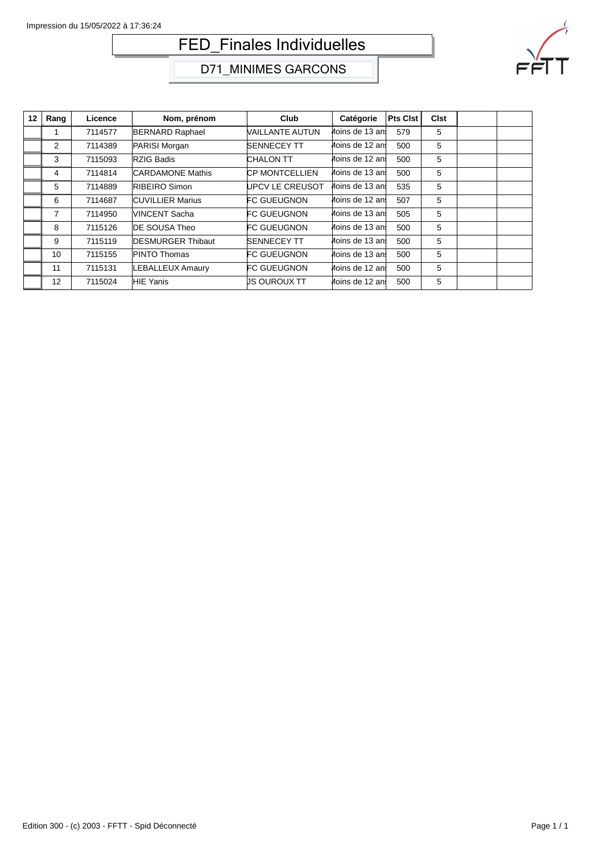# FED\_Finales Individuelles



D71\_MINIMES GARCONS

| 12 | Rang           | Licence | Nom, prénom              | Club                   | Catégorie       | Pts Clst | <b>Clst</b> |  |
|----|----------------|---------|--------------------------|------------------------|-----------------|----------|-------------|--|
|    |                | 7114577 | <b>BERNARD Raphael</b>   | <b>VAILLANTE AUTUN</b> | Moins de 13 ans | 579      | 5           |  |
|    | 2              | 7114389 | PARISI Morgan            | <b>SENNECEY TT</b>     | Moins de 12 ans | 500      | 5           |  |
|    | 3              | 7115093 | RZIG Badis               | <b>CHALON TT</b>       | Moins de 12 ans | 500      | 5           |  |
|    | 4              | 7114814 | <b>CARDAMONE Mathis</b>  | <b>CP MONTCELLIEN</b>  | Moins de 13 ans | 500      | 5           |  |
|    | 5              | 7114889 | RIBEIRO Simon            | <b>UPCV LE CREUSOT</b> | Moins de 13 ani | 535      | 5           |  |
|    | 6              | 7114687 | <b>CUVILLIER Marius</b>  | <b>FC GUEUGNON</b>     | Moins de 12 ans | 507      | 5           |  |
|    | $\overline{7}$ | 7114950 | VINCENT Sacha            | <b>FC GUEUGNON</b>     | Moins de 13 ans | 505      | 5           |  |
|    | 8              | 7115126 | DE SOUSA Theo            | <b>FC GUEUGNON</b>     | Moins de 13 ani | 500      | 5           |  |
|    | 9              | 7115119 | <b>DESMURGER Thibaut</b> | <b>SENNECEY TT</b>     | Moins de 13 ans | 500      | 5           |  |
|    | 10             | 7115155 | PINTO Thomas             | <b>FC GUEUGNON</b>     | Moins de 13 ani | 500      | 5           |  |
|    | 11             | 7115131 | <b>LEBALLEUX Amaury</b>  | <b>FC GUEUGNON</b>     | Moins de 12 ans | 500      | 5           |  |
|    | 12             | 7115024 | <b>HIE Yanis</b>         | US OUROUX TT           | Moins de 12 ani | 500      | 5           |  |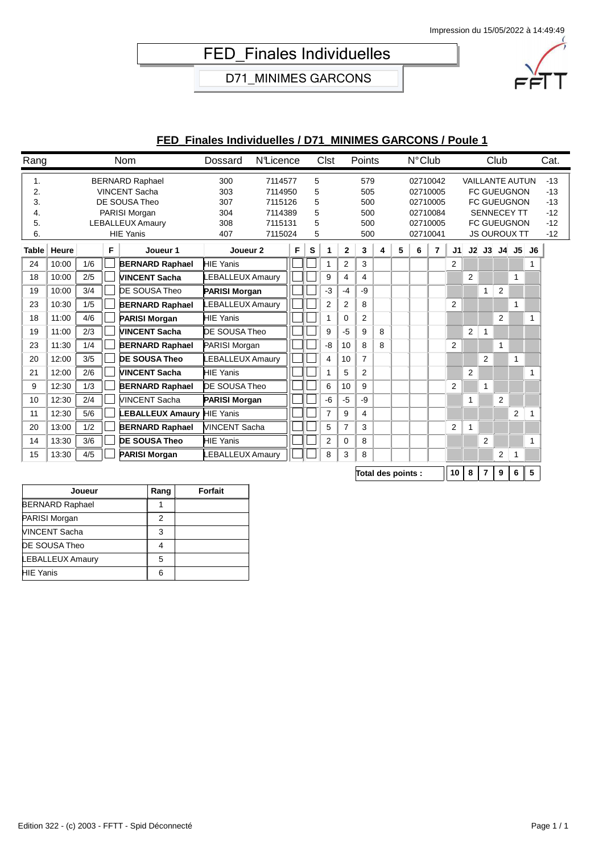## FED\_Finales Individuelles

D71\_MINIMES GARCONS



### **FED\_Finales Individuelles / D71\_MINIMES GARCONS / Poule 1**

| Rang                             |       |     |   | Nom                                                                                                                             | Dossard                                | <b>N</b> Licence                                               |   |                            | Clst           |                | Points             |                                        |   | $N^{\circ}$ Club |   |                |                |                | Club           |                |          | Cat. |  |  |  |  |  |  |  |  |  |  |  |  |  |  |  |  |  |  |  |  |  |  |  |  |  |  |  |  |  |  |  |  |  |  |  |  |  |  |  |  |  |  |  |  |  |  |  |  |  |  |  |  |  |  |  |  |  |  |  |  |  |  |  |  |  |  |  |  |  |  |  |  |  |  |  |  |  |                                                                      |  |  |  |  |  |  |  |                                                                                                                                       |  |                                                    |
|----------------------------------|-------|-----|---|---------------------------------------------------------------------------------------------------------------------------------|----------------------------------------|----------------------------------------------------------------|---|----------------------------|----------------|----------------|--------------------|----------------------------------------|---|------------------|---|----------------|----------------|----------------|----------------|----------------|----------|------|--|--|--|--|--|--|--|--|--|--|--|--|--|--|--|--|--|--|--|--|--|--|--|--|--|--|--|--|--|--|--|--|--|--|--|--|--|--|--|--|--|--|--|--|--|--|--|--|--|--|--|--|--|--|--|--|--|--|--|--|--|--|--|--|--|--|--|--|--|--|--|--|--|--|--|--|--|----------------------------------------------------------------------|--|--|--|--|--|--|--|---------------------------------------------------------------------------------------------------------------------------------------|--|----------------------------------------------------|
| 1.<br>2.<br>3.<br>4.<br>5.<br>6. |       |     |   | <b>BERNARD Raphael</b><br><b>VINCENT Sacha</b><br>DE SOUSA Theo<br>PARISI Morgan<br><b>LEBALLEUX Amaury</b><br><b>HIE Yanis</b> | 300<br>303<br>307<br>304<br>308<br>407 | 7114577<br>7114950<br>7115126<br>7114389<br>7115131<br>7115024 |   | 5<br>5<br>5<br>5<br>5<br>5 |                |                |                    | 579<br>505<br>500<br>500<br>500<br>500 |   |                  |   |                |                |                |                |                |          |      |  |  |  |  |  |  |  |  |  |  |  |  |  |  |  |  |  |  |  |  |  |  |  |  |  |  |  |  |  |  |  |  |  |  |  |  |  |  |  |  |  |  |  |  |  |  |  |  |  |  |  |  |  |  |  |  |  |  |  |  |  |  |  |  |  |  |  |  |  |  |  |  |  |  |  |  |  | 02710042<br>02710005<br>02710005<br>02710084<br>02710005<br>02710041 |  |  |  |  |  |  |  | <b>VAILLANTE AUTUN</b><br><b>FC GUEUGNON</b><br><b>FC GUEUGNON</b><br><b>SENNECEY TT</b><br><b>FC GUEUGNON</b><br><b>JS OUROUX TT</b> |  | $-13$<br>$-13$<br>$-13$<br>$-12$<br>$-12$<br>$-12$ |
| <b>Table</b>                     | Heure |     | F | Joueur 1                                                                                                                        | Joueur <sub>2</sub>                    |                                                                | F | S                          | 1              | $\mathbf{2}$   | 3                  | 4                                      | 5 | 6                | 7 | J1             |                | J2J3           |                |                | J4 J5 J6 |      |  |  |  |  |  |  |  |  |  |  |  |  |  |  |  |  |  |  |  |  |  |  |  |  |  |  |  |  |  |  |  |  |  |  |  |  |  |  |  |  |  |  |  |  |  |  |  |  |  |  |  |  |  |  |  |  |  |  |  |  |  |  |  |  |  |  |  |  |  |  |  |  |  |  |  |  |  |                                                                      |  |  |  |  |  |  |  |                                                                                                                                       |  |                                                    |
| 24                               | 10:00 | 1/6 |   | <b>BERNARD Raphael</b>                                                                                                          | <b>HIE Yanis</b>                       |                                                                |   |                            |                | 2              | 3                  |                                        |   |                  |   | $\overline{2}$ |                |                |                |                |          |      |  |  |  |  |  |  |  |  |  |  |  |  |  |  |  |  |  |  |  |  |  |  |  |  |  |  |  |  |  |  |  |  |  |  |  |  |  |  |  |  |  |  |  |  |  |  |  |  |  |  |  |  |  |  |  |  |  |  |  |  |  |  |  |  |  |  |  |  |  |  |  |  |  |  |  |  |  |                                                                      |  |  |  |  |  |  |  |                                                                                                                                       |  |                                                    |
| 18                               | 10:00 | 2/5 |   | <b>VINCENT Sacha</b>                                                                                                            | LEBALLEUX Amaury                       |                                                                |   |                            | 9              | 4              | 4                  |                                        |   |                  |   |                | $\overline{2}$ |                |                | 1              |          |      |  |  |  |  |  |  |  |  |  |  |  |  |  |  |  |  |  |  |  |  |  |  |  |  |  |  |  |  |  |  |  |  |  |  |  |  |  |  |  |  |  |  |  |  |  |  |  |  |  |  |  |  |  |  |  |  |  |  |  |  |  |  |  |  |  |  |  |  |  |  |  |  |  |  |  |  |  |                                                                      |  |  |  |  |  |  |  |                                                                                                                                       |  |                                                    |
| 19                               | 10:00 | 3/4 |   | DE SOUSA Theo                                                                                                                   | <b>PARISI Morgan</b>                   |                                                                |   |                            | -3             | $-4$           | -9                 |                                        |   |                  |   |                |                | 1              | 2              |                |          |      |  |  |  |  |  |  |  |  |  |  |  |  |  |  |  |  |  |  |  |  |  |  |  |  |  |  |  |  |  |  |  |  |  |  |  |  |  |  |  |  |  |  |  |  |  |  |  |  |  |  |  |  |  |  |  |  |  |  |  |  |  |  |  |  |  |  |  |  |  |  |  |  |  |  |  |  |  |                                                                      |  |  |  |  |  |  |  |                                                                                                                                       |  |                                                    |
| 23                               | 10:30 | 1/5 |   | <b>BERNARD Raphael</b>                                                                                                          | <b>LEBALLEUX Amaury</b>                |                                                                |   |                            | $\overline{2}$ | $\overline{2}$ | 8                  |                                        |   |                  |   | $\overline{2}$ |                |                |                | $\mathbf{1}$   |          |      |  |  |  |  |  |  |  |  |  |  |  |  |  |  |  |  |  |  |  |  |  |  |  |  |  |  |  |  |  |  |  |  |  |  |  |  |  |  |  |  |  |  |  |  |  |  |  |  |  |  |  |  |  |  |  |  |  |  |  |  |  |  |  |  |  |  |  |  |  |  |  |  |  |  |  |  |  |                                                                      |  |  |  |  |  |  |  |                                                                                                                                       |  |                                                    |
| 18                               | 11:00 | 4/6 |   | <b>PARISI Morgan</b>                                                                                                            | <b>HIE Yanis</b>                       |                                                                |   |                            |                | $\Omega$       | $\overline{2}$     |                                        |   |                  |   |                |                |                | $\overline{2}$ |                | 1        |      |  |  |  |  |  |  |  |  |  |  |  |  |  |  |  |  |  |  |  |  |  |  |  |  |  |  |  |  |  |  |  |  |  |  |  |  |  |  |  |  |  |  |  |  |  |  |  |  |  |  |  |  |  |  |  |  |  |  |  |  |  |  |  |  |  |  |  |  |  |  |  |  |  |  |  |  |  |                                                                      |  |  |  |  |  |  |  |                                                                                                                                       |  |                                                    |
| 19                               | 11:00 | 2/3 |   | <b>VINCENT Sacha</b>                                                                                                            | <b>DE SOUSA Theo</b>                   |                                                                |   |                            | 9              | $-5$           | 9                  | 8                                      |   |                  |   |                | $\overline{2}$ | 1              |                |                |          |      |  |  |  |  |  |  |  |  |  |  |  |  |  |  |  |  |  |  |  |  |  |  |  |  |  |  |  |  |  |  |  |  |  |  |  |  |  |  |  |  |  |  |  |  |  |  |  |  |  |  |  |  |  |  |  |  |  |  |  |  |  |  |  |  |  |  |  |  |  |  |  |  |  |  |  |  |  |                                                                      |  |  |  |  |  |  |  |                                                                                                                                       |  |                                                    |
| 23                               | 11:30 | 1/4 |   | <b>BERNARD Raphael</b>                                                                                                          | PARISI Morgan                          |                                                                |   |                            | -8             | 10             | 8                  | 8                                      |   |                  |   | 2              |                |                | $\mathbf{1}$   |                |          |      |  |  |  |  |  |  |  |  |  |  |  |  |  |  |  |  |  |  |  |  |  |  |  |  |  |  |  |  |  |  |  |  |  |  |  |  |  |  |  |  |  |  |  |  |  |  |  |  |  |  |  |  |  |  |  |  |  |  |  |  |  |  |  |  |  |  |  |  |  |  |  |  |  |  |  |  |  |                                                                      |  |  |  |  |  |  |  |                                                                                                                                       |  |                                                    |
| 20                               | 12:00 | 3/5 |   | <b>DE SOUSA Theo</b>                                                                                                            | LEBALLEUX Amaury                       |                                                                |   |                            | 4              | 10             | $\overline{7}$     |                                        |   |                  |   |                |                | 2              |                | $\mathbf{1}$   |          |      |  |  |  |  |  |  |  |  |  |  |  |  |  |  |  |  |  |  |  |  |  |  |  |  |  |  |  |  |  |  |  |  |  |  |  |  |  |  |  |  |  |  |  |  |  |  |  |  |  |  |  |  |  |  |  |  |  |  |  |  |  |  |  |  |  |  |  |  |  |  |  |  |  |  |  |  |  |                                                                      |  |  |  |  |  |  |  |                                                                                                                                       |  |                                                    |
| 21                               | 12:00 | 2/6 |   | <b>VINCENT Sacha</b>                                                                                                            | <b>HIE Yanis</b>                       |                                                                |   |                            |                | 5              | $\overline{2}$     |                                        |   |                  |   |                | $\overline{2}$ |                |                |                | 1        |      |  |  |  |  |  |  |  |  |  |  |  |  |  |  |  |  |  |  |  |  |  |  |  |  |  |  |  |  |  |  |  |  |  |  |  |  |  |  |  |  |  |  |  |  |  |  |  |  |  |  |  |  |  |  |  |  |  |  |  |  |  |  |  |  |  |  |  |  |  |  |  |  |  |  |  |  |  |                                                                      |  |  |  |  |  |  |  |                                                                                                                                       |  |                                                    |
| 9                                | 12:30 | 1/3 |   | <b>BERNARD Raphael</b>                                                                                                          | <b>DE SOUSA Theo</b>                   |                                                                |   |                            | 6              | 10             | 9                  |                                        |   |                  |   | 2              |                | 1              |                |                |          |      |  |  |  |  |  |  |  |  |  |  |  |  |  |  |  |  |  |  |  |  |  |  |  |  |  |  |  |  |  |  |  |  |  |  |  |  |  |  |  |  |  |  |  |  |  |  |  |  |  |  |  |  |  |  |  |  |  |  |  |  |  |  |  |  |  |  |  |  |  |  |  |  |  |  |  |  |  |                                                                      |  |  |  |  |  |  |  |                                                                                                                                       |  |                                                    |
| 10                               | 12:30 | 2/4 |   | <b>VINCENT Sacha</b>                                                                                                            | <b>PARISI Morgan</b>                   |                                                                |   |                            | -6             | $-5$           | -9                 |                                        |   |                  |   |                | 1              |                | 2              |                |          |      |  |  |  |  |  |  |  |  |  |  |  |  |  |  |  |  |  |  |  |  |  |  |  |  |  |  |  |  |  |  |  |  |  |  |  |  |  |  |  |  |  |  |  |  |  |  |  |  |  |  |  |  |  |  |  |  |  |  |  |  |  |  |  |  |  |  |  |  |  |  |  |  |  |  |  |  |  |                                                                      |  |  |  |  |  |  |  |                                                                                                                                       |  |                                                    |
| 11                               | 12:30 | 5/6 |   | LEBALLEUX Amaury                                                                                                                | <b>HIE Yanis</b>                       |                                                                |   |                            | 7              | 9              | 4                  |                                        |   |                  |   |                |                |                |                | $\overline{2}$ | 1        |      |  |  |  |  |  |  |  |  |  |  |  |  |  |  |  |  |  |  |  |  |  |  |  |  |  |  |  |  |  |  |  |  |  |  |  |  |  |  |  |  |  |  |  |  |  |  |  |  |  |  |  |  |  |  |  |  |  |  |  |  |  |  |  |  |  |  |  |  |  |  |  |  |  |  |  |  |  |                                                                      |  |  |  |  |  |  |  |                                                                                                                                       |  |                                                    |
| 20                               | 13:00 | 1/2 |   | <b>BERNARD Raphael</b>                                                                                                          | <b>VINCENT Sacha</b>                   |                                                                |   |                            | 5              | $\overline{7}$ | 3                  |                                        |   |                  |   | $\overline{2}$ | $\mathbf{1}$   |                |                |                |          |      |  |  |  |  |  |  |  |  |  |  |  |  |  |  |  |  |  |  |  |  |  |  |  |  |  |  |  |  |  |  |  |  |  |  |  |  |  |  |  |  |  |  |  |  |  |  |  |  |  |  |  |  |  |  |  |  |  |  |  |  |  |  |  |  |  |  |  |  |  |  |  |  |  |  |  |  |  |                                                                      |  |  |  |  |  |  |  |                                                                                                                                       |  |                                                    |
| 14                               | 13:30 | 3/6 |   | <b>DE SOUSA Theo</b>                                                                                                            | <b>HIE Yanis</b>                       |                                                                |   |                            | $\overline{2}$ | $\Omega$       | 8                  |                                        |   |                  |   |                |                | $\overline{2}$ |                |                | 1        |      |  |  |  |  |  |  |  |  |  |  |  |  |  |  |  |  |  |  |  |  |  |  |  |  |  |  |  |  |  |  |  |  |  |  |  |  |  |  |  |  |  |  |  |  |  |  |  |  |  |  |  |  |  |  |  |  |  |  |  |  |  |  |  |  |  |  |  |  |  |  |  |  |  |  |  |  |  |                                                                      |  |  |  |  |  |  |  |                                                                                                                                       |  |                                                    |
| 15                               | 13:30 | 4/5 |   | <b>PARISI Morgan</b>                                                                                                            | <b>LEBALLEUX Amaury</b>                |                                                                |   |                            | 8              | 3              | 8                  |                                        |   |                  |   |                |                |                | 2              | -1             |          |      |  |  |  |  |  |  |  |  |  |  |  |  |  |  |  |  |  |  |  |  |  |  |  |  |  |  |  |  |  |  |  |  |  |  |  |  |  |  |  |  |  |  |  |  |  |  |  |  |  |  |  |  |  |  |  |  |  |  |  |  |  |  |  |  |  |  |  |  |  |  |  |  |  |  |  |  |  |                                                                      |  |  |  |  |  |  |  |                                                                                                                                       |  |                                                    |
|                                  |       |     |   |                                                                                                                                 |                                        |                                                                |   |                            |                |                | Total des points : |                                        |   |                  |   | 10             | 8              | 7              | 9              | 6              | 5        |      |  |  |  |  |  |  |  |  |  |  |  |  |  |  |  |  |  |  |  |  |  |  |  |  |  |  |  |  |  |  |  |  |  |  |  |  |  |  |  |  |  |  |  |  |  |  |  |  |  |  |  |  |  |  |  |  |  |  |  |  |  |  |  |  |  |  |  |  |  |  |  |  |  |  |  |  |  |                                                                      |  |  |  |  |  |  |  |                                                                                                                                       |  |                                                    |

|  | Total des points : | ∥1 |
|--|--------------------|----|
|  |                    |    |

| Joueur                 | Rang | <b>Forfait</b> |
|------------------------|------|----------------|
| <b>BERNARD Raphael</b> |      |                |
| PARISI Morgan          | 2    |                |
| <b>VINCENT Sacha</b>   | 3    |                |
| DE SOUSA Theo          |      |                |
| LEBALLEUX Amaury       | 5    |                |
| HIE Yanis              | 6    |                |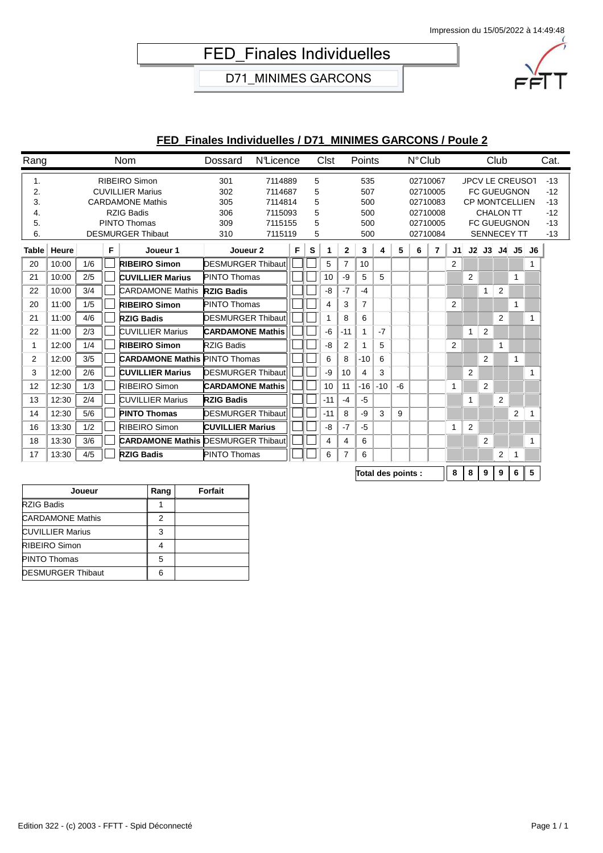## FED\_Finales Individuelles

D71\_MINIMES GARCONS



### **FED\_Finales Individuelles / D71\_MINIMES GARCONS / Poule 2**

| Rang                             |               |     |   | Nom                                                                                                                                  | Dossard                                | <b>N</b> Licence                                               |   |                            | <b>Clst</b> |                | Points                                 |       |    | $N^{\circ}$ Club     |                                              |                |                |                                                                                                                                       | Club           |    |   | Cat.                                               |
|----------------------------------|---------------|-----|---|--------------------------------------------------------------------------------------------------------------------------------------|----------------------------------------|----------------------------------------------------------------|---|----------------------------|-------------|----------------|----------------------------------------|-------|----|----------------------|----------------------------------------------|----------------|----------------|---------------------------------------------------------------------------------------------------------------------------------------|----------------|----|---|----------------------------------------------------|
| 1.<br>2.<br>3.<br>4.<br>5.<br>6. |               |     |   | RIBEIRO Simon<br><b>CUVILLIER Marius</b><br><b>CARDAMONE Mathis</b><br><b>RZIG Badis</b><br>PINTO Thomas<br><b>DESMURGER Thibaut</b> | 301<br>302<br>305<br>306<br>309<br>310 | 7114889<br>7114687<br>7114814<br>7115093<br>7115155<br>7115119 |   | 5<br>5<br>5<br>5<br>5<br>5 |             |                | 535<br>507<br>500<br>500<br>500<br>500 |       |    | 02710067<br>02710005 | 02710083<br>02710008<br>02710005<br>02710084 |                |                | <b>JPCV LE CREUSOT</b><br><b>FC GUEUGNON</b><br><b>CP MONTCELLIEN</b><br><b>CHALON TT</b><br><b>FC GUEUGNON</b><br><b>SENNECEY TT</b> |                |    |   | $-13$<br>$-12$<br>$-13$<br>$-12$<br>$-13$<br>$-13$ |
|                                  | Table   Heure |     | F | Joueur 1                                                                                                                             | Joueur <sub>2</sub>                    |                                                                | F | s                          | 1           | $\mathbf 2$    | 3                                      | 4     | 5  | 6                    | 7                                            | J1             |                | J2 J3 J4 J5 J6                                                                                                                        |                |    |   |                                                    |
| 20                               | 10:00         | 1/6 |   | <b>RIBEIRO Simon</b>                                                                                                                 | <b>DESMURGER Thibaut</b>               |                                                                |   |                            | 5           | $\overline{7}$ | 10                                     |       |    |                      |                                              | $\overline{2}$ |                |                                                                                                                                       |                |    |   |                                                    |
| 21                               | 10:00         | 2/5 |   | <b>CUVILLIER Marius</b>                                                                                                              | <b>PINTO Thomas</b>                    |                                                                |   |                            | 10          | -9             | 5                                      | 5     |    |                      |                                              |                | $\overline{2}$ |                                                                                                                                       |                | 1  |   |                                                    |
| 22                               | 10:00         | 3/4 |   | <b>CARDAMONE Mathis</b>                                                                                                              | <b>RZIG Badis</b>                      |                                                                |   |                            | -8          | $-7$           | $-4$                                   |       |    |                      |                                              |                |                | 1                                                                                                                                     | 2              |    |   |                                                    |
| 20                               | 11:00         | 1/5 |   | <b>RIBEIRO Simon</b>                                                                                                                 | <b>PINTO Thomas</b>                    |                                                                |   |                            | 4           | 3              | $\overline{7}$                         |       |    |                      |                                              | 2              |                |                                                                                                                                       |                | 1  |   |                                                    |
| 21                               | 11:00         | 4/6 |   | <b>RZIG Badis</b>                                                                                                                    | <b>DESMURGER Thibaut</b>               |                                                                |   |                            |             | 8              | 6                                      |       |    |                      |                                              |                |                |                                                                                                                                       | $\overline{2}$ |    |   |                                                    |
| 22                               | 11:00         | 2/3 |   | <b>CUVILLIER Marius</b>                                                                                                              | <b>CARDAMONE Mathis</b>                |                                                                |   |                            | -6          | $-11$          |                                        | $-7$  |    |                      |                                              |                | $\mathbf{1}$   | 2                                                                                                                                     |                |    |   |                                                    |
| 1                                | 12:00         | 1/4 |   | <b>RIBEIRO Simon</b>                                                                                                                 | <b>RZIG Badis</b>                      |                                                                |   |                            | -8          | 2              |                                        | 5     |    |                      |                                              | 2              |                |                                                                                                                                       | $\mathbf{1}$   |    |   |                                                    |
| 2                                | 12:00         | 3/5 |   | <b>CARDAMONE Mathis PINTO Thomas</b>                                                                                                 |                                        |                                                                |   |                            | 6           | 8              | $-10$                                  | 6     |    |                      |                                              |                |                | $\overline{2}$                                                                                                                        |                | 1  |   |                                                    |
| 3                                | 12:00         | 2/6 |   | <b>CUVILLIER Marius</b>                                                                                                              | <b>DESMURGER Thibaut</b>               |                                                                |   |                            | -9          | 10             | 4                                      | 3     |    |                      |                                              |                | 2              |                                                                                                                                       |                |    |   |                                                    |
| 12                               | 12:30         | 1/3 |   | RIBEIRO Simon                                                                                                                        | <b>CARDAMONE Mathis</b>                |                                                                |   |                            | 10          | 11             | $-16$                                  | $-10$ | -6 |                      |                                              | 1              |                | $\overline{2}$                                                                                                                        |                |    |   |                                                    |
| 13                               | 12:30         | 2/4 |   | <b>CUVILLIER Marius</b>                                                                                                              | <b>RZIG Badis</b>                      |                                                                |   |                            | $-11$       | $-4$           | $-5$                                   |       |    |                      |                                              |                | 1              |                                                                                                                                       | 2              |    |   |                                                    |
| 14                               | 12:30         | 5/6 |   | <b>PINTO Thomas</b>                                                                                                                  | <b>DESMURGER Thibaut</b>               |                                                                |   |                            | $-11$       | 8              | -9                                     | 3     | 9  |                      |                                              |                |                |                                                                                                                                       |                | 2  |   |                                                    |
| 16                               | 13:30         | 1/2 |   | <b>RIBEIRO Simon</b>                                                                                                                 | <b>CUVILLIER Marius</b>                |                                                                |   |                            | -8          | $-7$           | $-5$                                   |       |    |                      |                                              | $\mathbf{1}$   | 2              |                                                                                                                                       |                |    |   |                                                    |
| 18                               | 13:30         | 3/6 |   | <b>CARDAMONE Mathis DESMURGER Thibaut</b>                                                                                            |                                        |                                                                |   |                            | 4           | 4              | 6                                      |       |    |                      |                                              |                |                | 2                                                                                                                                     |                |    | 1 |                                                    |
| 17                               | 13:30         | 4/5 |   | <b>RZIG Badis</b>                                                                                                                    | <b>PINTO Thomas</b>                    |                                                                |   |                            | 6           | 7              | 6                                      |       |    |                      |                                              |                |                |                                                                                                                                       | 2              | -1 |   |                                                    |
|                                  |               |     |   |                                                                                                                                      |                                        |                                                                |   |                            |             |                |                                        |       |    |                      |                                              |                |                |                                                                                                                                       |                |    |   |                                                    |

**Total des points : 8 8 9 9 6 5**

| Joueur                   | Rang | Forfait |
|--------------------------|------|---------|
| <b>RZIG Badis</b>        |      |         |
| <b>CARDAMONE Mathis</b>  |      |         |
| <b>CUVILLIER Marius</b>  | 3    |         |
| RIBEIRO Simon            |      |         |
| <b>PINTO Thomas</b>      |      |         |
| <b>DESMURGER Thibaut</b> |      |         |